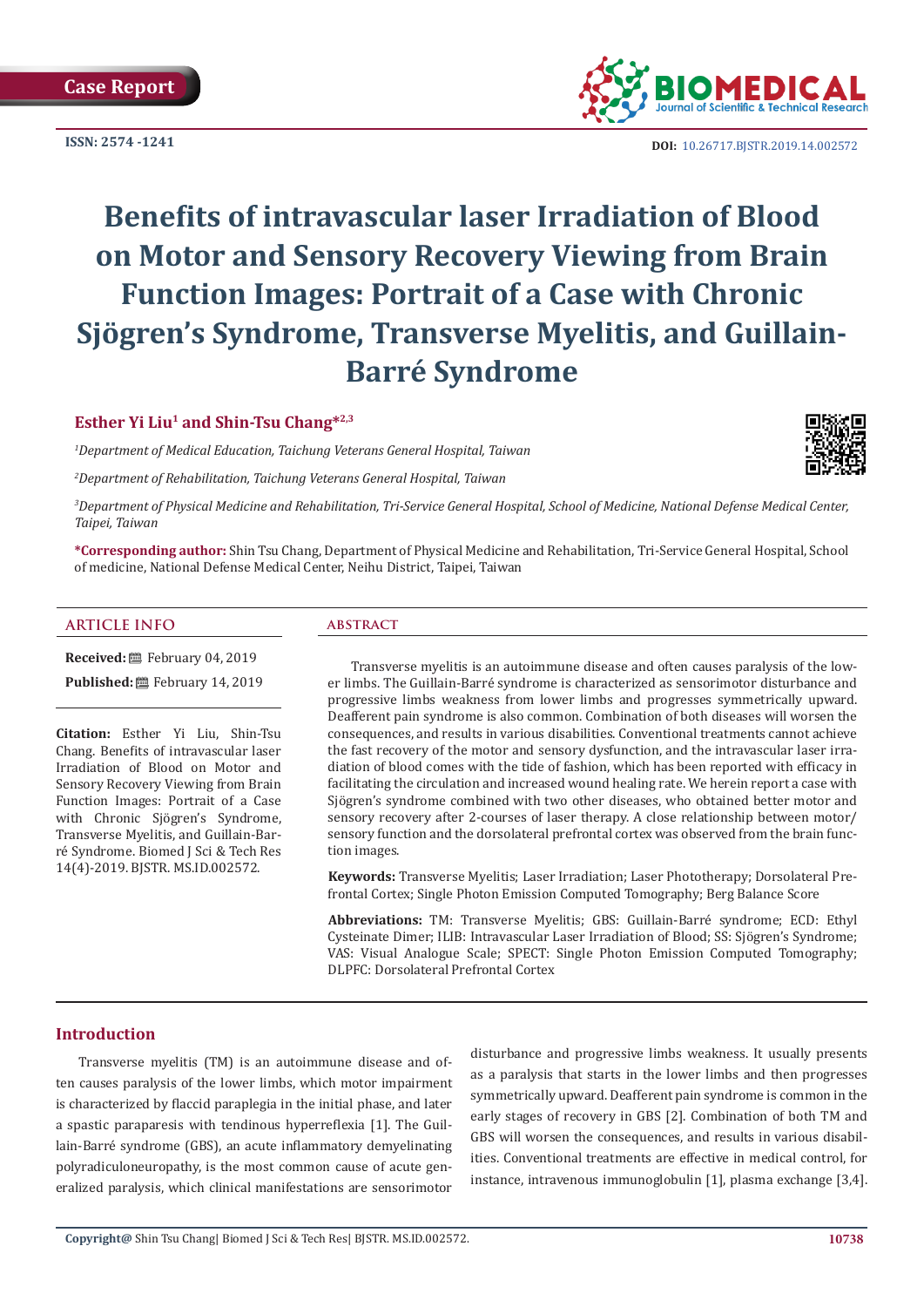**ISSN: 2574 -1241**



**DOI:** [10.26717.BJSTR.2019.14.0025](http://dx.doi.org/10.26717/BJSTR.2019.14.002572)72

# **Benefits of intravascular laser Irradiation of Blood on Motor and Sensory Recovery Viewing from Brain Function Images: Portrait of a Case with Chronic Sjögren's Syndrome, Transverse Myelitis, and Guillain-Barré Syndrome**

# **Esther Yi Liu<sup>1</sup> and Shin-Tsu Chang\*2,3**

*1 Department of Medical Education, Taichung Veterans General Hospital, Taiwan*

*2 Department of Rehabilitation, Taichung Veterans General Hospital, Taiwan*



*3 Department of Physical Medicine and Rehabilitation, Tri-Service General Hospital, School of Medicine, National Defense Medical Center, Taipei, Taiwan*

**\*Corresponding author:** Shin Tsu Chang, Department of Physical Medicine and Rehabilitation, Tri-Service General Hospital, School of medicine, National Defense Medical Center, Neihu District, Taipei, Taiwan

# **ARTICLE INFO abstract**

**Received:** February 04, 2019

Published: **■**February 14, 2019

**Citation:** Esther Yi Liu, Shin-Tsu Chang. Benefits of intravascular laser Irradiation of Blood on Motor and Sensory Recovery Viewing from Brain Function Images: Portrait of a Case with Chronic Sjögren's Syndrome, Transverse Myelitis, and Guillain-Barré Syndrome. Biomed J Sci & Tech Res 14(4)-2019. BJSTR. MS.ID.002572.

Transverse myelitis is an autoimmune disease and often causes paralysis of the lower limbs. The Guillain-Barré syndrome is characterized as sensorimotor disturbance and progressive limbs weakness from lower limbs and progresses symmetrically upward. Deafferent pain syndrome is also common. Combination of both diseases will worsen the consequences, and results in various disabilities. Conventional treatments cannot achieve the fast recovery of the motor and sensory dysfunction, and the intravascular laser irradiation of blood comes with the tide of fashion, which has been reported with efficacy in facilitating the circulation and increased wound healing rate. We herein report a case with Sjögren's syndrome combined with two other diseases, who obtained better motor and sensory recovery after 2-courses of laser therapy. A close relationship between motor/ sensory function and the dorsolateral prefrontal cortex was observed from the brain function images.

**Keywords:** Transverse Myelitis; Laser Irradiation; Laser Phototherapy; Dorsolateral Prefrontal Cortex; Single Photon Emission Computed Tomography; Berg Balance Score

**Abbreviations:** TM: Transverse Myelitis; GBS: Guillain-Barré syndrome; ECD: Ethyl Cysteinate Dimer; ILIB: Intravascular Laser Irradiation of Blood; SS: Sjögren's Syndrome; VAS: Visual Analogue Scale; SPECT: Single Photon Emission Computed Tomography; DLPFC: Dorsolateral Prefrontal Cortex

# **Introduction**

Transverse myelitis (TM) is an autoimmune disease and often causes paralysis of the lower limbs, which motor impairment is characterized by flaccid paraplegia in the initial phase, and later a spastic paraparesis with tendinous hyperreflexia [1]. The Guillain-Barré syndrome (GBS), an acute inflammatory demyelinating polyradiculoneuropathy, is the most common cause of acute generalized paralysis, which clinical manifestations are sensorimotor disturbance and progressive limbs weakness. It usually presents as a paralysis that starts in the lower limbs and then progresses symmetrically upward. Deafferent pain syndrome is common in the early stages of recovery in GBS [2]. Combination of both TM and GBS will worsen the consequences, and results in various disabilities. Conventional treatments are effective in medical control, for instance, intravenous immunoglobulin [1], plasma exchange [3,4].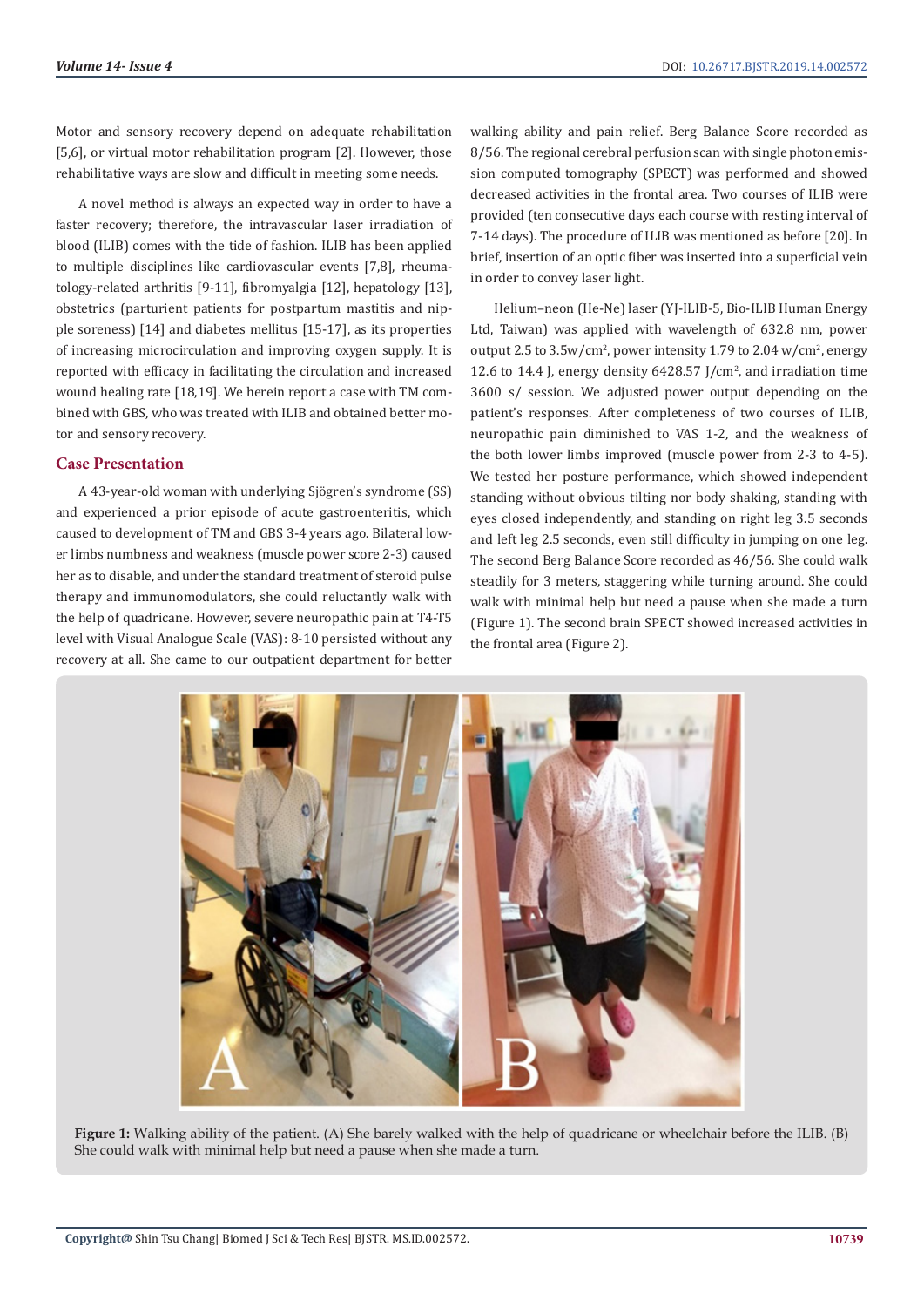Motor and sensory recovery depend on adequate rehabilitation [5,6], or virtual motor rehabilitation program [2]. However, those rehabilitative ways are slow and difficult in meeting some needs.

A novel method is always an expected way in order to have a faster recovery; therefore, the intravascular laser irradiation of blood (ILIB) comes with the tide of fashion. ILIB has been applied to multiple disciplines like cardiovascular events [7,8], rheumatology-related arthritis [9-11], fibromyalgia [12], hepatology [13], obstetrics (parturient patients for postpartum mastitis and nipple soreness) [14] and diabetes mellitus [15-17], as its properties of increasing microcirculation and improving oxygen supply. It is reported with efficacy in facilitating the circulation and increased wound healing rate [18,19]. We herein report a case with TM combined with GBS, who was treated with ILIB and obtained better motor and sensory recovery.

#### **Case Presentation**

A 43-year-old woman with underlying Sjögren's syndrome (SS) and experienced a prior episode of acute gastroenteritis, which caused to development of TM and GBS 3-4 years ago. Bilateral lower limbs numbness and weakness (muscle power score 2-3) caused her as to disable, and under the standard treatment of steroid pulse therapy and immunomodulators, she could reluctantly walk with the help of quadricane. However, severe neuropathic pain at T4-T5 level with Visual Analogue Scale (VAS): 8-10 persisted without any recovery at all. She came to our outpatient department for better

walking ability and pain relief. Berg Balance Score recorded as 8/56. The regional cerebral perfusion scan with single photon emission computed tomography (SPECT) was performed and showed decreased activities in the frontal area. Two courses of ILIB were provided (ten consecutive days each course with resting interval of 7-14 days). The procedure of ILIB was mentioned as before [20]. In brief, insertion of an optic fiber was inserted into a superficial vein in order to convey laser light.

Helium–neon (He-Ne) laser (YJ-ILIB-5, Bio-ILIB Human Energy Ltd, Taiwan) was applied with wavelength of 632.8 nm, power output 2.5 to  $3.5 \text{w/cm}^2$ , power intensity 1.79 to 2.04  $\text{w/cm}^2$ , energy 12.6 to 14.4 J, energy density  $6428.57$  J/cm<sup>2</sup>, and irradiation time 3600 s/ session. We adjusted power output depending on the patient's responses. After completeness of two courses of ILIB, neuropathic pain diminished to VAS 1-2, and the weakness of the both lower limbs improved (muscle power from 2-3 to 4-5). We tested her posture performance, which showed independent standing without obvious tilting nor body shaking, standing with eyes closed independently, and standing on right leg 3.5 seconds and left leg 2.5 seconds, even still difficulty in jumping on one leg. The second Berg Balance Score recorded as 46/56. She could walk steadily for 3 meters, staggering while turning around. She could walk with minimal help but need a pause when she made a turn (Figure 1). The second brain SPECT showed increased activities in the frontal area (Figure 2).



**Figure 1:** Walking ability of the patient. (A) She barely walked with the help of quadricane or wheelchair before the ILIB. (B) She could walk with minimal help but need a pause when she made a turn.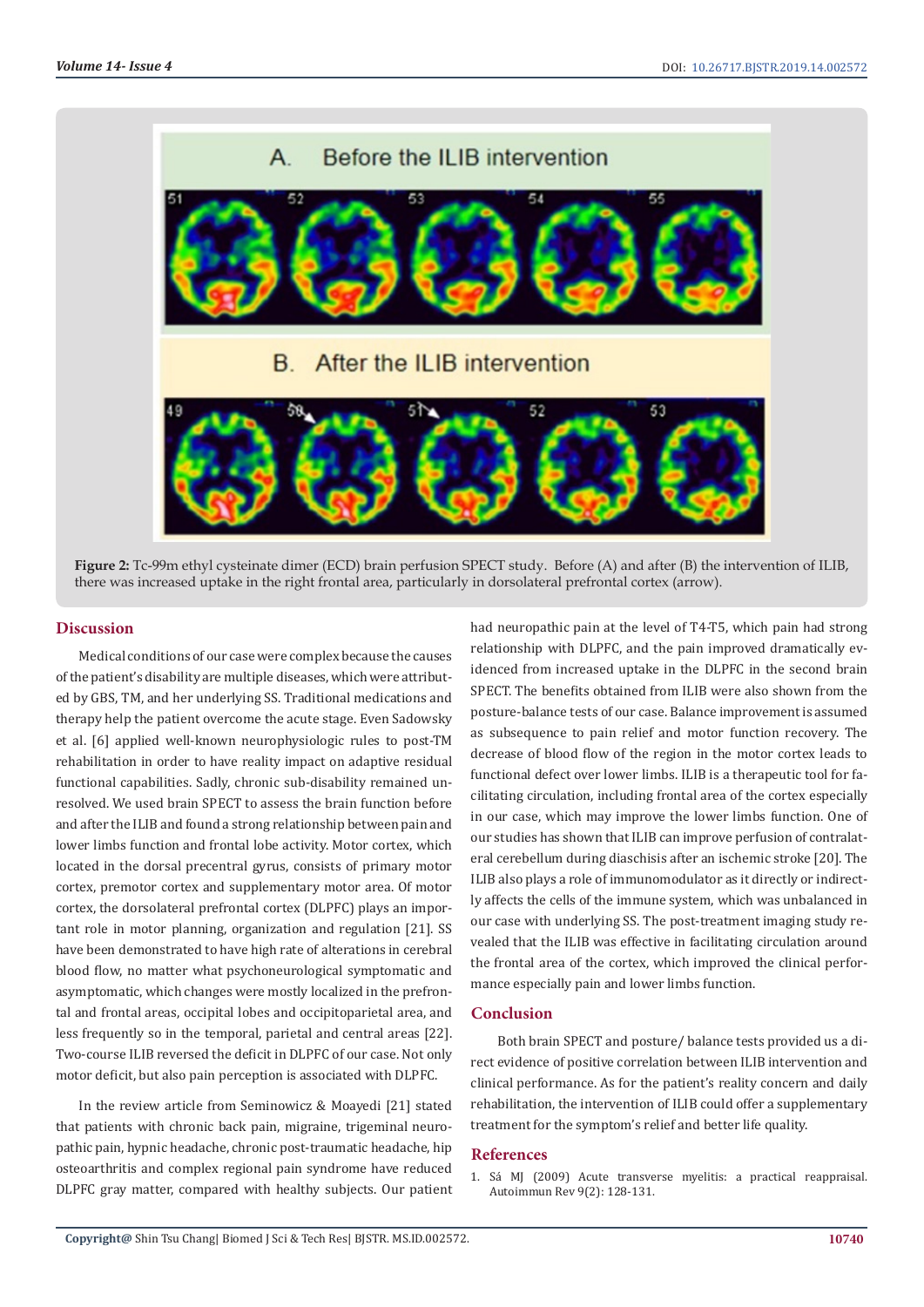

**Figure 2:** Tc-99m ethyl cysteinate dimer (ECD) brain perfusion SPECT study. Before (A) and after (B) the intervention of ILIB, there was increased uptake in the right frontal area, particularly in dorsolateral prefrontal cortex (arrow).

# **Discussion**

Medical conditions of our case were complex because the causes of the patient's disability are multiple diseases, which were attributed by GBS, TM, and her underlying SS. Traditional medications and therapy help the patient overcome the acute stage. Even Sadowsky et al. [6] applied well-known neurophysiologic rules to post-TM rehabilitation in order to have reality impact on adaptive residual functional capabilities. Sadly, chronic sub-disability remained unresolved. We used brain SPECT to assess the brain function before and after the ILIB and found a strong relationship between pain and lower limbs function and frontal lobe activity. Motor cortex, which located in the dorsal precentral gyrus, consists of primary motor cortex, premotor cortex and supplementary motor area. Of motor cortex, the dorsolateral prefrontal cortex (DLPFC) plays an important role in motor planning, organization and regulation [21]. SS have been demonstrated to have high rate of alterations in cerebral blood flow, no matter what psychoneurological symptomatic and asymptomatic, which changes were mostly localized in the prefrontal and frontal areas, occipital lobes and occipitoparietal area, and less frequently so in the temporal, parietal and central areas [22]. Two-course ILIB reversed the deficit in DLPFC of our case. Not only motor deficit, but also pain perception is associated with DLPFC.

In the review article from Seminowicz & Moayedi [21] stated that patients with chronic back pain, migraine, trigeminal neuropathic pain, hypnic headache, chronic post-traumatic headache, hip osteoarthritis and complex regional pain syndrome have reduced DLPFC gray matter, compared with healthy subjects. Our patient had neuropathic pain at the level of T4-T5, which pain had strong relationship with DLPFC, and the pain improved dramatically evidenced from increased uptake in the DLPFC in the second brain SPECT. The benefits obtained from ILIB were also shown from the posture-balance tests of our case. Balance improvement is assumed as subsequence to pain relief and motor function recovery. The decrease of blood flow of the region in the motor cortex leads to functional defect over lower limbs. ILIB is a therapeutic tool for facilitating circulation, including frontal area of the cortex especially in our case, which may improve the lower limbs function. One of our studies has shown that ILIB can improve perfusion of contralateral cerebellum during diaschisis after an ischemic stroke [20]. The ILIB also plays a role of immunomodulator as it directly or indirectly affects the cells of the immune system, which was unbalanced in our case with underlying SS. The post-treatment imaging study revealed that the ILIB was effective in facilitating circulation around the frontal area of the cortex, which improved the clinical performance especially pain and lower limbs function.

#### **Conclusion**

 Both brain SPECT and posture/ balance tests provided us a direct evidence of positive correlation between ILIB intervention and clinical performance. As for the patient's reality concern and daily rehabilitation, the intervention of ILIB could offer a supplementary treatment for the symptom's relief and better life quality.

#### **References**

1. [Sá MJ \(2009\) Acute transverse myelitis: a practical reappraisal.](https://www.ncbi.nlm.nih.gov/pubmed/19389491) [Autoimmun Rev 9\(2\): 128-131.](https://www.ncbi.nlm.nih.gov/pubmed/19389491)